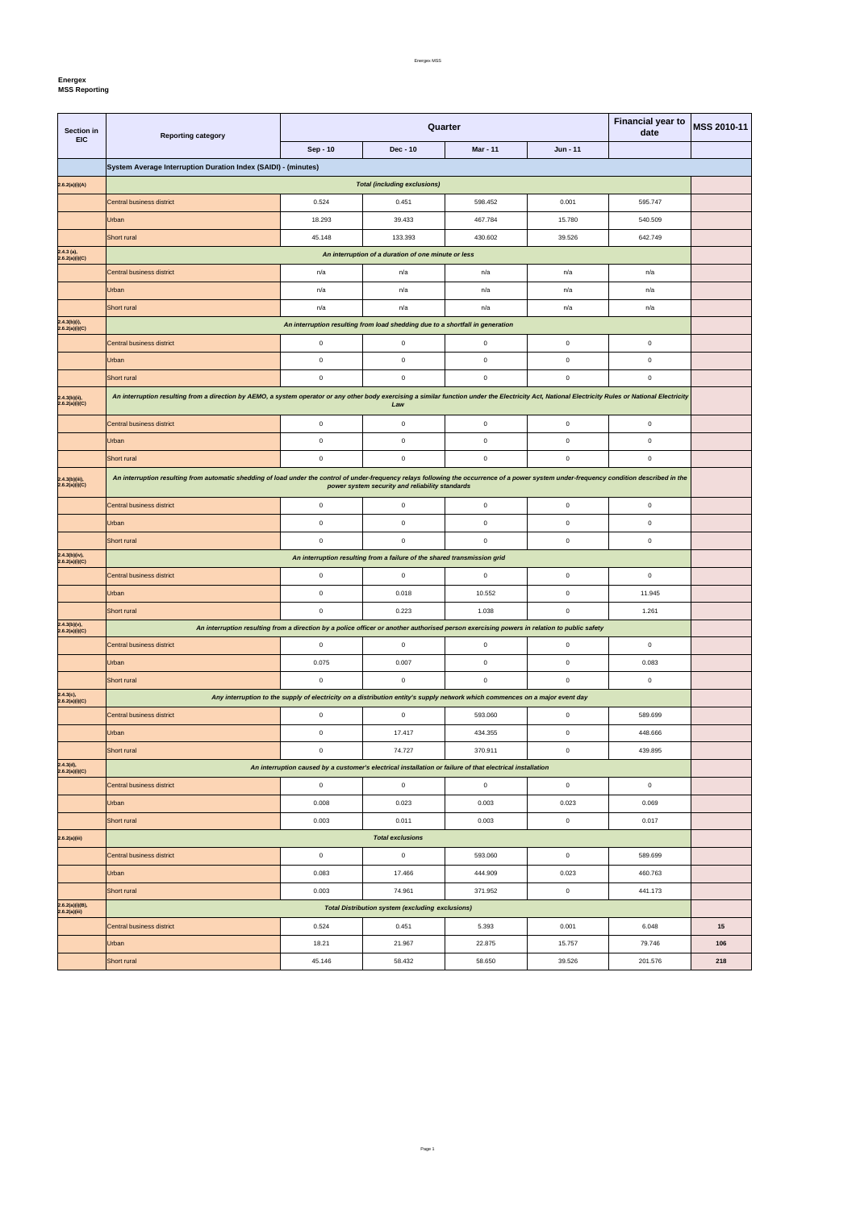**Energex**

 $\mathbf{r}$ 

**MSS Reporting** 

| Section in<br><b>EIC</b>         | <b>Reporting category</b>                                                                                                                                                                           |                                                                                                                              | Quarter                                                 | <b>Financial year to</b><br>date | <b>MSS 2010-11</b> |             |     |  |
|----------------------------------|-----------------------------------------------------------------------------------------------------------------------------------------------------------------------------------------------------|------------------------------------------------------------------------------------------------------------------------------|---------------------------------------------------------|----------------------------------|--------------------|-------------|-----|--|
|                                  |                                                                                                                                                                                                     | Sep - 10                                                                                                                     | Dec - 10                                                | <b>Mar - 11</b>                  | Jun - 11           |             |     |  |
|                                  | System Average Interruption Duration Index (SAIDI) - (minutes)                                                                                                                                      |                                                                                                                              |                                                         |                                  |                    |             |     |  |
| 2.6.2(a)(i)(A)                   | <b>Total (including exclusions)</b>                                                                                                                                                                 |                                                                                                                              |                                                         |                                  |                    |             |     |  |
|                                  | Central business district                                                                                                                                                                           | 0.524                                                                                                                        | 0.451                                                   | 598.452                          | 0.001              | 595.747     |     |  |
|                                  | Urban                                                                                                                                                                                               | 18.293                                                                                                                       | 39.433                                                  | 467.784                          | 15.780             | 540.509     |     |  |
|                                  | Short rural                                                                                                                                                                                         | 45.148                                                                                                                       | 133.393                                                 | 430.602                          | 39.526             | 642.749     |     |  |
| $2.4.3$ (a),<br>2.6.2(a)(i)(C)   |                                                                                                                                                                                                     |                                                                                                                              | An interruption of a duration of one minute or less     |                                  |                    |             |     |  |
|                                  | Central business district                                                                                                                                                                           | n/a                                                                                                                          | n/a                                                     | n/a                              | n/a                | n/a         |     |  |
|                                  | Urban                                                                                                                                                                                               | n/a                                                                                                                          | n/a                                                     | n/a                              | n/a                | n/a         |     |  |
|                                  | Short rural                                                                                                                                                                                         | n/a                                                                                                                          | n/a                                                     | n/a                              | n/a                | n/a         |     |  |
| 2.4.3(b)(i),<br>2.6.2(a)(i)(C)   | An interruption resulting from load shedding due to a shortfall in generation                                                                                                                       |                                                                                                                              |                                                         |                                  |                    |             |     |  |
|                                  | <b>Central business district</b>                                                                                                                                                                    | $\mathbf 0$                                                                                                                  | $\mathbf 0$                                             | $\mathsf 0$                      | 0                  | $\mathbf 0$ |     |  |
|                                  | Urban                                                                                                                                                                                               | $\mathbf 0$                                                                                                                  | $\mathbf 0$                                             | $\mathbf 0$                      | 0                  | 0           |     |  |
|                                  | Short rural                                                                                                                                                                                         | $\mathbf 0$                                                                                                                  | $\mathbf 0$                                             | $\mathsf 0$                      | 0                  | $\mathbf 0$ |     |  |
| 2.4.3(b)(ii),<br>2.6.2(a)(i)(C)  | An interruption resulting from a direction by AEMO, a system operator or any other body exercising a similar function under the Electricity Act, National Electricity Rules or National Electricity |                                                                                                                              | Law                                                     |                                  |                    |             |     |  |
|                                  | Central business district                                                                                                                                                                           | $\mathbf 0$                                                                                                                  | $\mathbf 0$                                             | $\mathsf 0$                      | 0                  | $\mathbf 0$ |     |  |
|                                  | Urban                                                                                                                                                                                               | $\mathbf 0$                                                                                                                  | $\mathbf 0$                                             | $\mathsf 0$                      | 0                  | 0           |     |  |
|                                  | Short rural                                                                                                                                                                                         | $\mathbf 0$                                                                                                                  | $\mathbf 0$                                             | $\mathsf 0$                      | 0                  | $\mathbf 0$ |     |  |
| 2.4.3(b)(iii),<br>2.6.2(a)(i)(C) | An interruption resulting from automatic shedding of load under the control of under-frequency relays following the occurrence of a power system under-frequency condition described in the         |                                                                                                                              | power system security and reliability standards         |                                  |                    |             |     |  |
|                                  | Central business district                                                                                                                                                                           | $\mathbf 0$                                                                                                                  | $\mathbf 0$                                             | $\mathsf 0$                      | 0                  | $\mathbf 0$ |     |  |
|                                  | Urban                                                                                                                                                                                               | $\mathbf 0$                                                                                                                  | $\mathbf 0$                                             | $\mathsf 0$                      | 0                  | $\mathbf 0$ |     |  |
|                                  | Short rural                                                                                                                                                                                         | $\mathbf 0$                                                                                                                  | $\mathbf 0$                                             | $\mathbf 0$                      | 0                  | $\mathbf 0$ |     |  |
| 2.4.3(b)(iv),<br>2.6.2(a)(i)(C)  | An interruption resulting from a failure of the shared transmission grid                                                                                                                            |                                                                                                                              |                                                         |                                  |                    |             |     |  |
|                                  | Central business district                                                                                                                                                                           | 0                                                                                                                            | 0                                                       | 0                                | 0                  | 0           |     |  |
|                                  | Urban                                                                                                                                                                                               | $\mathbf 0$                                                                                                                  | 0.018                                                   | 10.552                           | $\mathbf 0$        | 11.945      |     |  |
|                                  | Short rural                                                                                                                                                                                         | $\mathbf 0$                                                                                                                  | 0.223                                                   | 1.038                            | $\mathbf 0$        | 1.261       |     |  |
| $2.4.3(b)(v),$<br>2.6.2(a)(i)(C) | An interruption resulting from a direction by a police officer or another authorised person exercising powers in relation to public safety                                                          |                                                                                                                              |                                                         |                                  |                    |             |     |  |
|                                  | Central business district                                                                                                                                                                           | $\mathbf 0$                                                                                                                  | $\mathbf 0$                                             | $\mathsf 0$                      | $\mathbf 0$        | $\mathbf 0$ |     |  |
|                                  | Urban                                                                                                                                                                                               | 0.075                                                                                                                        | 0.007                                                   | $\mathsf 0$                      | $\mathbf 0$        | 0.083       |     |  |
|                                  | Short rural                                                                                                                                                                                         | $\mathbf 0$                                                                                                                  | $\mathbf 0$                                             | $\mathsf 0$                      | 0                  | $\mathbf 0$ |     |  |
| 2.4.3(c),<br>2.6.2(a)(i)(C)      |                                                                                                                                                                                                     | Any interruption to the supply of electricity on a distribution entity's supply network which commences on a major event day |                                                         |                                  |                    |             |     |  |
|                                  | Central business district                                                                                                                                                                           | $\mathsf 0$                                                                                                                  | $\mathbf 0$                                             | 593.060                          | $\mathbf 0$        | 589.699     |     |  |
|                                  | Urban                                                                                                                                                                                               | $\mathbf 0$                                                                                                                  | 17.417                                                  | 434.355                          | $\mathbf 0$        | 448.666     |     |  |
|                                  | Short rural                                                                                                                                                                                         | $\mathbf 0$                                                                                                                  | 74.727                                                  | 370.911                          | 0                  | 439.895     |     |  |
| 2.4.3(d),<br>2.6.2(a)(i)(C)      |                                                                                                                                                                                                     | An interruption caused by a customer's electrical installation or failure of that electrical installation                    |                                                         |                                  |                    |             |     |  |
|                                  | Central business district                                                                                                                                                                           | $\mathsf 0$                                                                                                                  | $\mathbf 0$                                             | $\mathsf 0$                      | $\mathbf 0$        | $\mathbf 0$ |     |  |
|                                  | Urban                                                                                                                                                                                               | 0.008                                                                                                                        | 0.023                                                   | 0.003                            | 0.023              | 0.069       |     |  |
|                                  | Short rural                                                                                                                                                                                         | 0.003                                                                                                                        | 0.011                                                   | 0.003                            | 0                  | 0.017       |     |  |
| 2.6.2(a)(iii)                    | <b>Total exclusions</b>                                                                                                                                                                             |                                                                                                                              |                                                         |                                  |                    |             |     |  |
|                                  | Central business district                                                                                                                                                                           | $\mathbf 0$                                                                                                                  | $\mathbf 0$                                             | 593.060                          | $\mathbf 0$        | 589.699     |     |  |
|                                  | Urban                                                                                                                                                                                               | 0.083                                                                                                                        | 17.466                                                  | 444.909                          | 0.023              | 460.763     |     |  |
|                                  | Short rural                                                                                                                                                                                         | 0.003                                                                                                                        | 74.961                                                  | 371.952                          | $\mathbf 0$        | 441.173     |     |  |
| 2.6.2(a)(i)(B),<br>2.6.2(a)(iii) |                                                                                                                                                                                                     |                                                                                                                              | <b>Total Distribution system (excluding exclusions)</b> |                                  |                    |             |     |  |
|                                  | Central business district                                                                                                                                                                           | 0.524                                                                                                                        | 0.451                                                   | 5.393                            | 0.001              | 6.048       | 15  |  |
|                                  | Urban                                                                                                                                                                                               | 18.21                                                                                                                        | 21.967                                                  | 22.875                           | 15.757             | 79.746      | 106 |  |
|                                  | Short rural                                                                                                                                                                                         | 45.146                                                                                                                       | 58.432                                                  | 58.650                           | 39.526             | 201.576     | 218 |  |

Page 1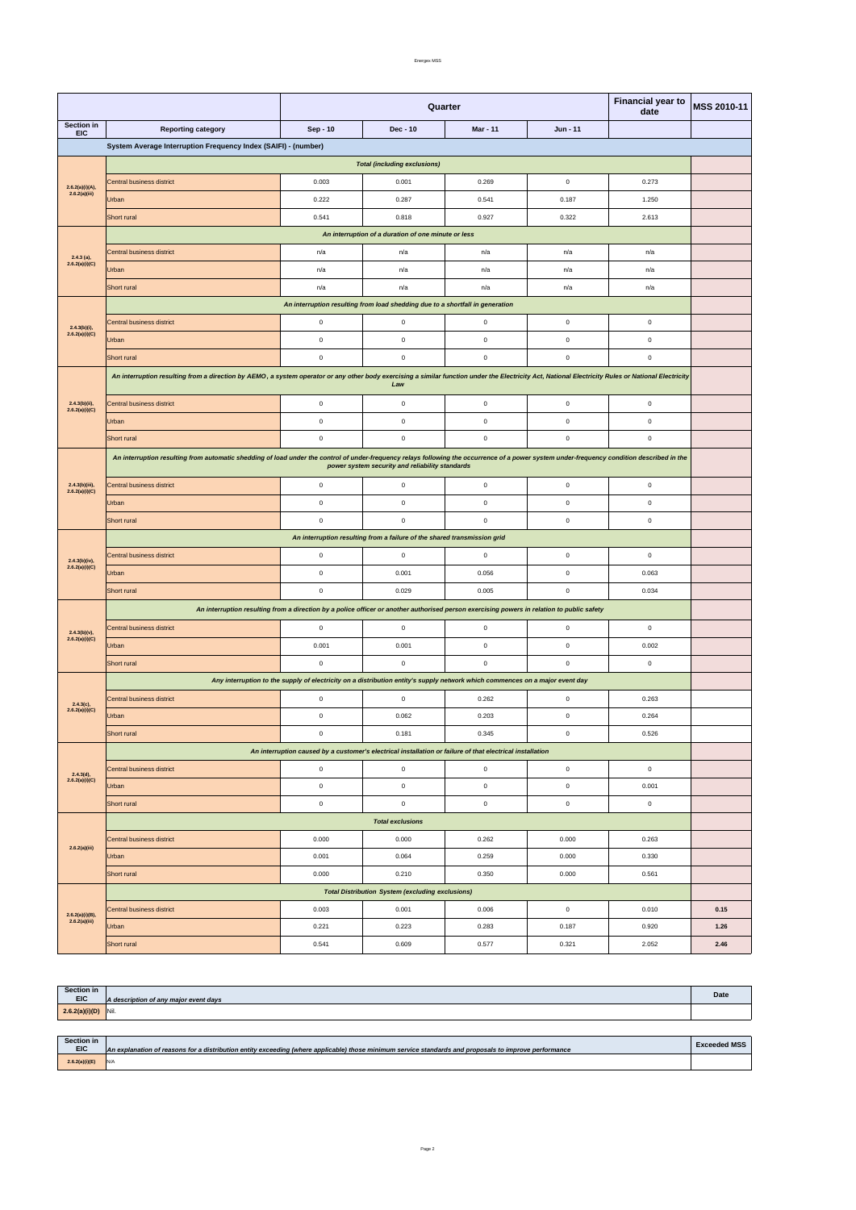|                                      | Short rural  | 0.541 | 0.609 | 0.577 | 0.321 | 2.052 | 2.46 |
|--------------------------------------|--------------|-------|-------|-------|-------|-------|------|
| $2.6.2(a)(i)(B),$<br>$2.6.2(a)(iii)$ | <b>Urban</b> | 0.221 | 0.223 | 0.283 | 0.187 | 0.920 | 1.26 |
|                                      |              |       |       |       |       |       |      |

|                                     |                                                                                                                                                                                                                                                | <b>Financial year to</b><br>Quarter<br>date                                                                                  |                                                                               |                 |              |                     | MSS 2010-11 |  |
|-------------------------------------|------------------------------------------------------------------------------------------------------------------------------------------------------------------------------------------------------------------------------------------------|------------------------------------------------------------------------------------------------------------------------------|-------------------------------------------------------------------------------|-----------------|--------------|---------------------|-------------|--|
| Section in<br><b>EIC</b>            | <b>Reporting category</b>                                                                                                                                                                                                                      | Sep - 10                                                                                                                     | Dec - 10                                                                      | <b>Mar - 11</b> | Jun - 11     |                     |             |  |
|                                     | System Average Interruption Frequency Index (SAIFI) - (number)                                                                                                                                                                                 |                                                                                                                              |                                                                               |                 |              |                     |             |  |
|                                     | <b>Total (including exclusions)</b>                                                                                                                                                                                                            |                                                                                                                              |                                                                               |                 |              |                     |             |  |
|                                     | Central business district                                                                                                                                                                                                                      | 0.003                                                                                                                        | 0.001                                                                         | 0.269           | $\mathbf 0$  | 0.273               |             |  |
| 2.6.2(a)(i)(A),<br>2.6.2(a)(iii)    | Urban                                                                                                                                                                                                                                          | 0.222                                                                                                                        | 0.287                                                                         | 0.541           | 0.187        | 1.250               |             |  |
|                                     | Short rural                                                                                                                                                                                                                                    | 0.541                                                                                                                        | 0.818                                                                         | 0.927           | 0.322        | 2.613               |             |  |
|                                     | An interruption of a duration of one minute or less                                                                                                                                                                                            |                                                                                                                              |                                                                               |                 |              |                     |             |  |
| $2.4.3$ (a),                        | Central business district                                                                                                                                                                                                                      | n/a                                                                                                                          | n/a                                                                           | n/a             | n/a          | n/a                 |             |  |
| 2.6.2(a)(i)(C)                      | Urban                                                                                                                                                                                                                                          | n/a                                                                                                                          | n/a                                                                           | n/a             | n/a          | n/a                 |             |  |
|                                     | Short rural                                                                                                                                                                                                                                    | n/a                                                                                                                          | n/a                                                                           | n/a             | n/a          | n/a                 |             |  |
|                                     |                                                                                                                                                                                                                                                |                                                                                                                              | An interruption resulting from load shedding due to a shortfall in generation |                 |              |                     |             |  |
| $2.4.3(b)(i)$ ,                     | Central business district                                                                                                                                                                                                                      | $\mathbf 0$                                                                                                                  | $\mathbf 0$                                                                   | $\mathbf 0$     | $\mathbf 0$  | $\mathbf 0$         |             |  |
| 2.6.2(a)(i)(C)                      | Urban                                                                                                                                                                                                                                          | $\mathbf 0$                                                                                                                  | $\mathbf 0$                                                                   | $\mathsf 0$     | 0            | 0                   |             |  |
|                                     | Short rural                                                                                                                                                                                                                                    | $\pmb{0}$                                                                                                                    | $\mathbf 0$                                                                   | $\mathbf 0$     | $\mathbf 0$  | $\mathbf 0$         |             |  |
|                                     | An interruption resulting from a direction by AEMO, a system operator or any other body exercising a similar function under the Electricity Act, National Electricity Rules or National Electricity                                            |                                                                                                                              |                                                                               |                 |              |                     |             |  |
|                                     |                                                                                                                                                                                                                                                |                                                                                                                              | Law                                                                           |                 |              |                     |             |  |
| $2.4.3(b)(ii)$ ,<br>2.6.2(a)(i)(C)  | <b>Central business district</b>                                                                                                                                                                                                               | $\pmb{0}$                                                                                                                    | $\mathbf 0$                                                                   | $\mathbf 0$     | $\mathbf 0$  | $\mathbf 0$         |             |  |
|                                     | Urban                                                                                                                                                                                                                                          | $\mathbf 0$                                                                                                                  | $\mathbf 0$                                                                   | $\mathsf 0$     | 0            | 0                   |             |  |
|                                     | Short rural                                                                                                                                                                                                                                    | $\mathbf 0$                                                                                                                  | $\mathbf 0$                                                                   | $\mathbf 0$     | $\mathbf 0$  | $\mathsf{O}\xspace$ |             |  |
|                                     | An interruption resulting from automatic shedding of load under the control of under-frequency relays following the occurrence of a power system under-frequency condition described in the<br>power system security and reliability standards |                                                                                                                              |                                                                               |                 |              |                     |             |  |
| 2.4.3(b)(iii),<br>2.6.2(a)(i)(C)    | Central business district                                                                                                                                                                                                                      | $\mathbf 0$                                                                                                                  | $\mathbf 0$                                                                   | $\mathsf 0$     | $\mathbf 0$  | $\mathbf 0$         |             |  |
|                                     | Urban                                                                                                                                                                                                                                          | $\mathbf 0$                                                                                                                  | $\mathbf{0}$                                                                  | $\mathsf 0$     | 0            | $\mathbf 0$         |             |  |
|                                     | Short rural                                                                                                                                                                                                                                    | $\mathbf 0$                                                                                                                  | $\mathbf 0$                                                                   | $\mathbf 0$     | $\mathbf 0$  | $\mathbf 0$         |             |  |
|                                     | An interruption resulting from a failure of the shared transmission grid                                                                                                                                                                       |                                                                                                                              |                                                                               |                 |              |                     |             |  |
|                                     | Central business district                                                                                                                                                                                                                      | $\mathbf 0$                                                                                                                  | $\mathbf 0$                                                                   | $\mathsf 0$     | $\mathbf 0$  | $\mathsf{O}\xspace$ |             |  |
| $2.4.3(b)(iv),$<br>$2.6.2(a)(i)(C)$ | Urban                                                                                                                                                                                                                                          | $\mathbf 0$                                                                                                                  | 0.001                                                                         | 0.056           | 0            | 0.063               |             |  |
|                                     | Short rural                                                                                                                                                                                                                                    | $\mathbf 0$                                                                                                                  | 0.029                                                                         | 0.005           | $\mathsf 0$  | 0.034               |             |  |
|                                     | An interruption resulting from a direction by a police officer or another authorised person exercising powers in relation to public safety                                                                                                     |                                                                                                                              |                                                                               |                 |              |                     |             |  |
| $2.4.3(b)(v)$ ,                     | Central business district                                                                                                                                                                                                                      | $\mathbf 0$                                                                                                                  | $\mathbf 0$                                                                   | $\mathsf 0$     | $\mathsf 0$  | $\mathbf 0$         |             |  |
| 2.6.2(a)(i)(C)                      | Urban                                                                                                                                                                                                                                          | 0.001                                                                                                                        | 0.001                                                                         | $\mathbf 0$     | $\mathbf 0$  | 0.002               |             |  |
|                                     | Short rural                                                                                                                                                                                                                                    | $\mathbf 0$                                                                                                                  | $\mathbf 0$                                                                   | $\mathsf 0$     | $\mathbf 0$  | $\mathsf{O}\xspace$ |             |  |
|                                     |                                                                                                                                                                                                                                                | Any interruption to the supply of electricity on a distribution entity's supply network which commences on a major event day |                                                                               |                 |              |                     |             |  |
|                                     | Central business district                                                                                                                                                                                                                      | $\mathbf 0$                                                                                                                  | $\mathbf 0$                                                                   | 0.262           | $\mathbf 0$  | 0.263               |             |  |
| $2.4.3(c),$<br>$2.6.2(a)(i)(C)$     | Urban                                                                                                                                                                                                                                          | $\mathbf 0$                                                                                                                  | 0.062                                                                         | 0.203           | $\mathbf 0$  | 0.264               |             |  |
|                                     | Short rural                                                                                                                                                                                                                                    | $\mathbf 0$                                                                                                                  | 0.181                                                                         | 0.345           | $\mathbf 0$  | 0.526               |             |  |
|                                     | An interruption caused by a customer's electrical installation or failure of that electrical installation                                                                                                                                      |                                                                                                                              |                                                                               |                 |              |                     |             |  |
| 2.4.3(d),<br>2.6.2(a)(i)(C)         | Central business district                                                                                                                                                                                                                      | $\mathbf 0$                                                                                                                  | $\mathbf 0$                                                                   | $\mathbf 0$     | $\mathsf 0$  | $\mathsf{O}\xspace$ |             |  |
|                                     | Urban                                                                                                                                                                                                                                          | $\pmb{0}$                                                                                                                    | $\mathbf 0$                                                                   | $\mathbf 0$     | $\mathsf{O}$ | 0.001               |             |  |
|                                     | Short rural                                                                                                                                                                                                                                    | $\pmb{0}$                                                                                                                    | $\mathbf 0$                                                                   | $\mathsf 0$     | $\mathsf{O}$ | $\mathsf{O}\xspace$ |             |  |
|                                     |                                                                                                                                                                                                                                                |                                                                                                                              | <b>Total exclusions</b>                                                       |                 |              |                     |             |  |
|                                     | Central business district                                                                                                                                                                                                                      | 0.000                                                                                                                        | 0.000                                                                         | 0.262           | 0.000        | 0.263               |             |  |
| 2.6.2(a)(iii)                       | Urban                                                                                                                                                                                                                                          | 0.001                                                                                                                        | 0.064                                                                         | 0.259           | 0.000        | 0.330               |             |  |
|                                     | Short rural                                                                                                                                                                                                                                    | 0.000                                                                                                                        | 0.210                                                                         | 0.350           | 0.000        | 0.561               |             |  |
|                                     |                                                                                                                                                                                                                                                |                                                                                                                              | <b>Total Distribution System (excluding exclusions)</b>                       |                 |              |                     |             |  |
|                                     | Central business district                                                                                                                                                                                                                      | 0.003                                                                                                                        | 0.001                                                                         | 0.006           | $\mathsf 0$  | 0.010               | 0.15        |  |

| Section in     |                                       |      |
|----------------|---------------------------------------|------|
| <b>EIC</b>     | A description of any major event days | Date |
| 2.6.2(a)(i)(D) | Nil.                                  |      |

| Section in<br><b>EIC</b> | An explanation of reasons for a distribution entity exceeding (where applicable) those minimum service standards and proposals to improve performance | <b>Exceeded MSS</b> |
|--------------------------|-------------------------------------------------------------------------------------------------------------------------------------------------------|---------------------|
| 2.6.2(a)(i)(E)           | IN/A                                                                                                                                                  |                     |

Page 2